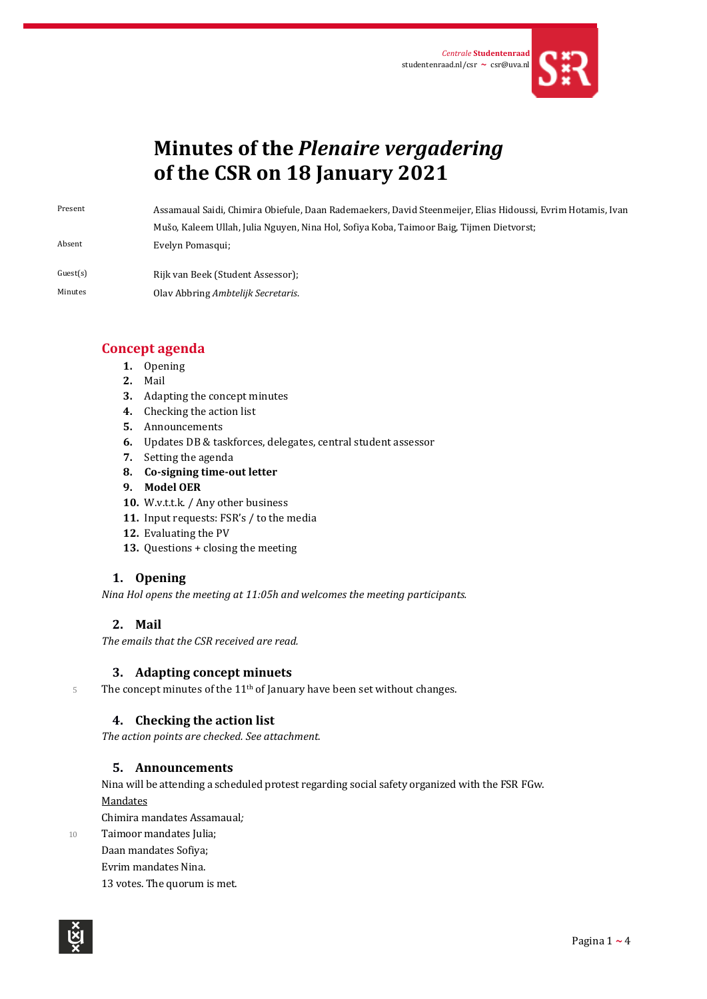

# **Minutes of the** *Plenaire vergadering* **of the CSR on 18 January 2021**

Present Assamaual Saidi, Chimira Obiefule, Daan Rademaekers, David Steenmeijer, Elias Hidoussi, Evrim Hotamis, Ivan Mušo, Kaleem Ullah, Julia Nguyen, Nina Hol, Sofiya Koba, Taimoor Baig, Tijmen Dietvorst; Absent Evelyn Pomasqui;

Guest(s) Rijk van Beek (Student Assessor); Minutes Olav Abbring *Ambtelijk Secretaris*.

# **Concept agenda**

- **1.** Opening
- **2.** Mail
- **3.** Adapting the concept minutes
- **4.** Checking the action list
- **5.** Announcements
- **6.** Updates DB & taskforces, delegates, central student assessor
- **7.** Setting the agenda
- **8. Co-signing time-out letter**
- **9. Model OER**
- **10.** W.v.t.t.k. / Any other business
- **11.** Input requests: FSR's / to the media
- **12.** Evaluating the PV
- **13.** Questions + closing the meeting

# **1. Opening**

*Nina Hol opens the meeting at 11:05h and welcomes the meeting participants.* 

## **2. Mail**

*The emails that the CSR received are read.*

## **3. Adapting concept minuets**

5 The concept minutes of the 11<sup>th</sup> of January have been set without changes.

# **4. Checking the action list**

*The action points are checked. See attachment.*

## **5. Announcements**

Nina will be attending a scheduled protest regarding social safety organized with the FSR FGw. Mandates

Chimira mandates Assamaual*;*

10 Taimoor mandates Julia; Daan mandates Sofiya; Evrim mandates Nina. 13 votes. The quorum is met.

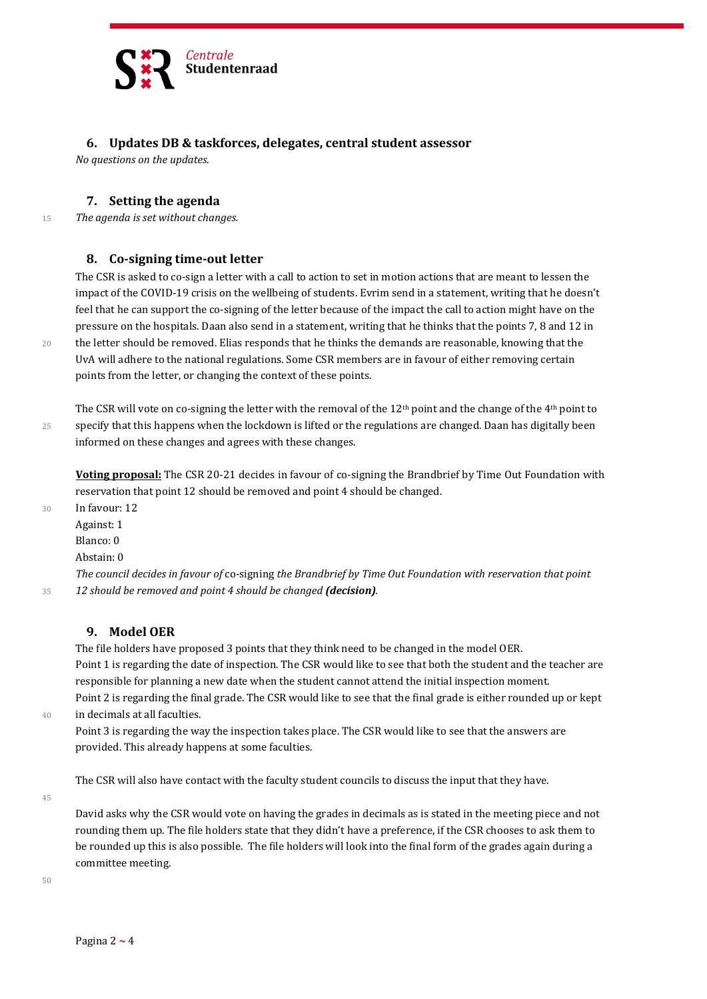

#### **6. Updates DB & taskforces, delegates, central student assessor**

*No questions on the updates*.

#### **7. Setting the agenda**

<sup>15</sup> *The agenda is set without changes.*

#### **8. Co-signing time-out letter**

The CSR is asked to co-sign a letter with a call to action to set in motion actions that are meant to lessen the impact of the COVID-19 crisis on the wellbeing of students. Evrim send in a statement, writing that he doesn't feel that he can support the co-signing of the letter because of the impact the call to action might have on the pressure on the hospitals. Daan also send in a statement, writing that he thinks that the points 7, 8 and 12 in 20 the letter should be removed. Elias responds that he thinks the demands are reasonable, knowing that the UvA will adhere to the national regulations. Some CSR members are in favour of either removing certain points from the letter, or changing the context of these points.

The CSR will vote on co-signing the letter with the removal of the  $12<sup>th</sup>$  point and the change of the  $4<sup>th</sup>$  point to 25 specify that this happens when the lockdown is lifted or the regulations are changed. Daan has digitally been informed on these changes and agrees with these changes.

**Voting proposal:** The CSR 20-21 decides in favour of co-signing the Brandbrief by Time Out Foundation with reservation that point 12 should be removed and point 4 should be changed.

30 In favour: 12

Against: 1 Blanco: 0

Abstain: 0

*The council decides in favour of* co-signing *the Brandbrief by Time Out Foundation with reservation that point*  <sup>35</sup> *12 should be removed and point 4 should be changed (decision).*

#### **9. Model OER**

The file holders have proposed 3 points that they think need to be changed in the model OER. Point 1 is regarding the date of inspection. The CSR would like to see that both the student and the teacher are responsible for planning a new date when the student cannot attend the initial inspection moment. Point 2 is regarding the final grade. The CSR would like to see that the final grade is either rounded up or kept

40 in decimals at all faculties. Point 3 is regarding the way the inspection takes place. The CSR would like to see that the answers are provided. This already happens at some faculties.

The CSR will also have contact with the faculty student councils to discuss the input that they have.

45

David asks why the CSR would vote on having the grades in decimals as is stated in the meeting piece and not rounding them up. The file holders state that they didn't have a preference, if the CSR chooses to ask them to be rounded up this is also possible. The file holders will look into the final form of the grades again during a committee meeting.

 $50$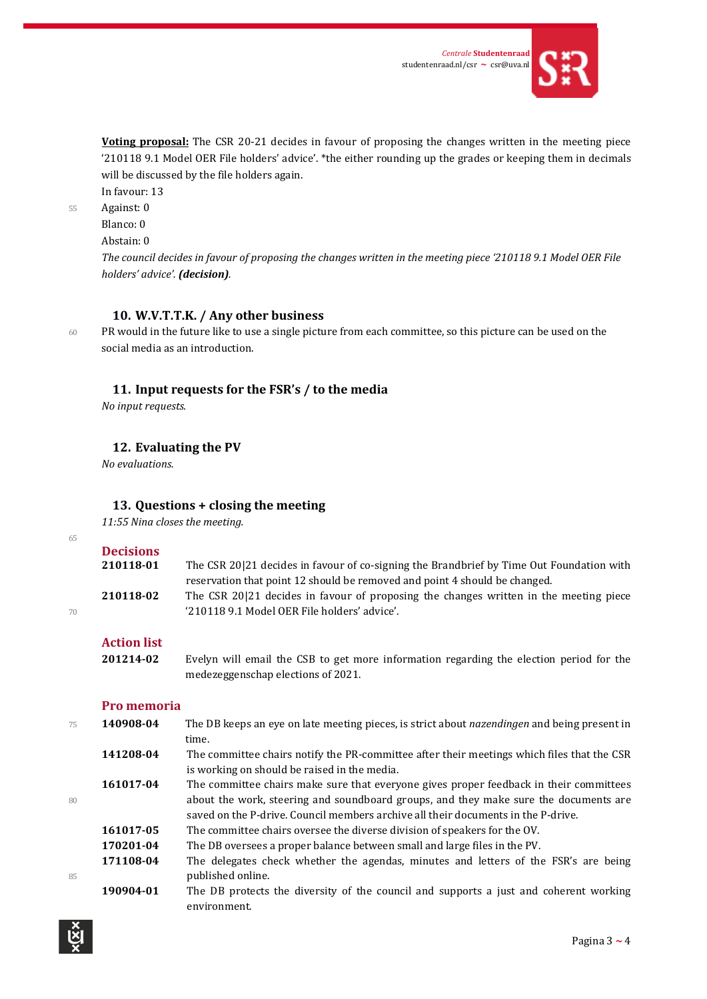

**Voting proposal:** The CSR 20-21 decides in favour of proposing the changes written in the meeting piece '210118 9.1 Model OER File holders' advice'. \*the either rounding up the grades or keeping them in decimals will be discussed by the file holders again.

In favour: 13

55 Against: 0

Blanco: 0

Abstain: 0

*The council decides in favour of proposing the changes written in the meeting piece '210118 9.1 Model OER File holders' advice'. (decision).*

#### **10. W.V.T.T.K. / Any other business**

65

60 PR would in the future like to use a single picture from each committee, so this picture can be used on the social media as an introduction.

#### **11. Input requests for the FSR's / to the media**

*No input requests.*

**12. Evaluating the PV** 

*No evaluations.*

#### **13. Questions + closing the meeting**

*11:55 Nina closes the meeting.*

| 65 |                  |                                                                                          |
|----|------------------|------------------------------------------------------------------------------------------|
|    | <b>Decisions</b> |                                                                                          |
|    | 210118-01        | The CSR 20121 decides in favour of co-signing the Brandbrief by Time Out Foundation with |
|    |                  | reservation that point 12 should be removed and point 4 should be changed.               |
|    | 210118-02        | The CSR 20121 decides in favour of proposing the changes written in the meeting piece    |
| 70 |                  | '210118 9.1 Model OER File holders' advice'.                                             |
|    |                  |                                                                                          |

## **Action list**

**201214-02** Evelyn will email the CSB to get more information regarding the election period for the medezeggenschap elections of 2021.

#### **Pro memoria**

| 75 | 140908-04 | The DB keeps an eye on late meeting pieces, is strict about <i>nazendingen</i> and being present in |
|----|-----------|-----------------------------------------------------------------------------------------------------|
|    |           | time.                                                                                               |
|    | 141208-04 | The committee chairs notify the PR-committee after their meetings which files that the CSR          |
|    |           | is working on should be raised in the media.                                                        |
|    | 161017-04 | The committee chairs make sure that everyone gives proper feedback in their committees              |
| 80 |           | about the work, steering and soundboard groups, and they make sure the documents are                |
|    |           | saved on the P-drive. Council members archive all their documents in the P-drive.                   |
|    | 161017-05 | The committee chairs oversee the diverse division of speakers for the OV.                           |
|    | 170201-04 | The DB oversees a proper balance between small and large files in the PV.                           |
|    | 171108-04 | The delegates check whether the agendas, minutes and letters of the FSR's are being                 |
| 85 |           | published online.                                                                                   |
|    | 190904-01 | The DB protects the diversity of the council and supports a just and coherent working               |
|    |           | environment.                                                                                        |
|    |           |                                                                                                     |